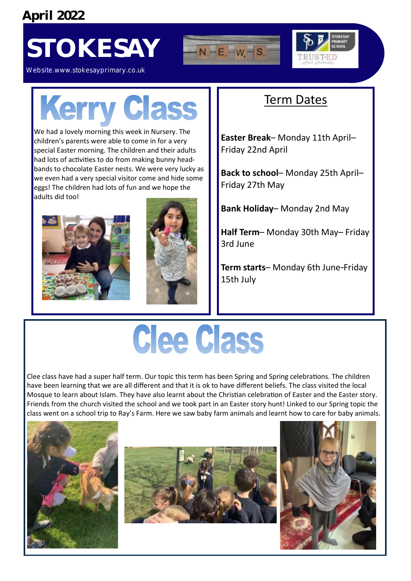**April 2022**

### STOKESAY **ENTERMEDIA**





Website.www.stokesayprimary.co.uk

# **Kerry Class**

We had a lovely morning this week in Nursery. The children's parents were able to come in for a very special Easter morning. The children and their adults had lots of activities to do from making bunny headbands to chocolate Easter nests. We were very lucky as we even had a very special visitor come and hide some eggs! The children had lots of fun and we hope the adults did too!





#### Term Dates

**Easter Break**– Monday 11th April– Friday 22nd April

**Back to school**– Monday 25th April– Friday 27th May

**Bank Holiday**– Monday 2nd May

**Half Term**– Monday 30th May– Friday 3rd June

**Term starts**– Monday 6th June-Friday 15th July

## Clee Class

Clee class have had a super half term. Our topic this term has been Spring and Spring celebrations. The children have been learning that we are all different and that it is ok to have different beliefs. The class visited the local Mosque to learn about Islam. They have also learnt about the Christian celebration of Easter and the Easter story. Friends from the church visited the school and we took part in an Easter story hunt! Linked to our Spring topic the class went on a school trip to Ray's Farm. Here we saw baby farm animals and learnt how to care for baby animals.

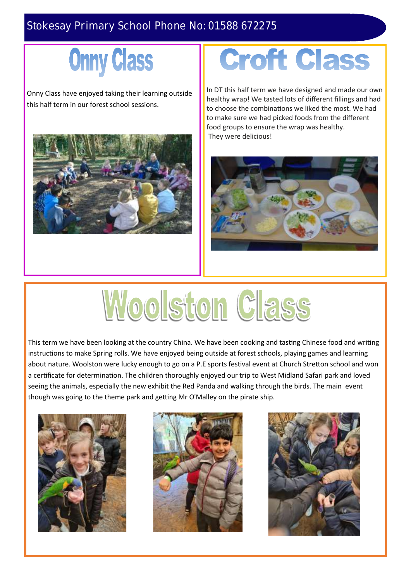#### Stokesay Primary School Phone No: 01588 672275

### **Onny Class**

Onny Class have enjoyed taking their learning outside this half term in our forest school sessions.



### **Croft Class**

In DT this half term we have designed and made our own healthy wrap! We tasted lots of different fillings and had to choose the combinations we liked the most. We had to make sure we had picked foods from the different food groups to ensure the wrap was healthy. They were delicious!



# Woolston Class

This term we have been looking at the country China. We have been cooking and tasting Chinese food and writing instructions to make Spring rolls. We have enjoyed being outside at forest schools, playing games and learning about nature. Woolston were lucky enough to go on a P.E sports festival event at Church Stretton school and won a certificate for determination. The children thoroughly enjoyed our trip to West Midland Safari park and loved seeing the animals, especially the new exhibit the Red Panda and walking through the birds. The main event though was going to the theme park and getting Mr O'Malley on the pirate ship.





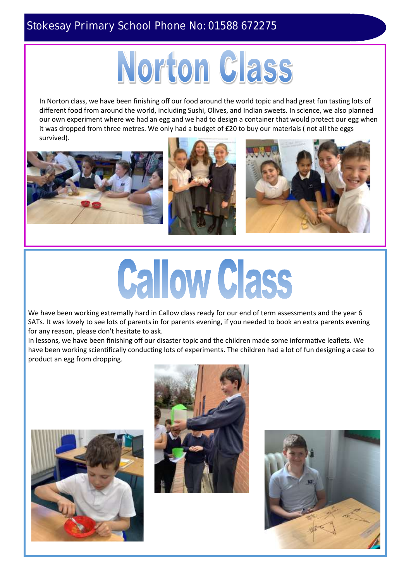#### Stokesay Primary School Phone No: 01588 672275



In Norton class, we have been finishing off our food around the world topic and had great fun tasting lots of different food from around the world, including Sushi, Olives, and Indian sweets. In science, we also planned our own experiment where we had an egg and we had to design a container that would protect our egg when it was dropped from three metres. We only had a budget of £20 to buy our materials ( not all the eggs survived).



# **Callow Class**

We have been working extremally hard in Callow class ready for our end of term assessments and the year 6 SATs. It was lovely to see lots of parents in for parents evening, if you needed to book an extra parents evening for any reason, please don't hesitate to ask.

In lessons, we have been finishing off our disaster topic and the children made some informative leaflets. We have been working scientifically conducting lots of experiments. The children had a lot of fun designing a case to product an egg from dropping.